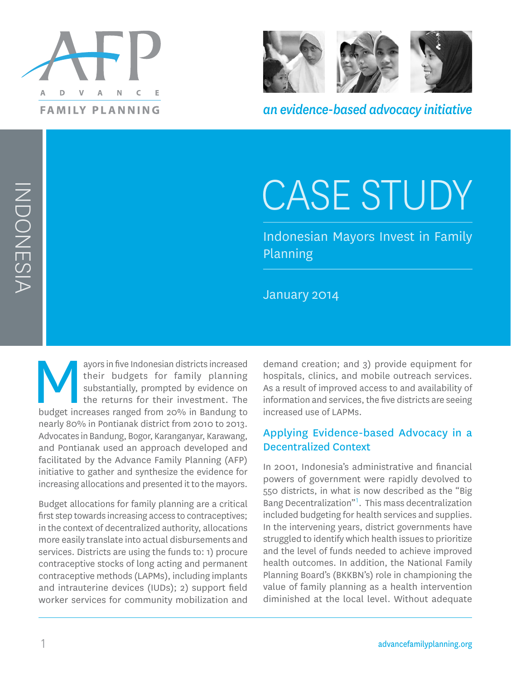



*an evidence-based advocacy initiative*

# CASE STUDY

Indonesian Mayors Invest in Family Planning

January 2014

ayors in five Indonesian districts increased<br>their budgets for family planning<br>substantially, prompted by evidence on<br>the returns for their investment. The<br>budget increases ranged from 20% in Bandung to their budgets for family planning substantially, prompted by evidence on the returns for their investment. The nearly 80% in Pontianak district from 2010 to 2013. Advocates in Bandung, Bogor, Karanganyar, Karawang, and Pontianak used an approach developed and facilitated by the Advance Family Planning (AFP) initiative to gather and synthesize the evidence for increasing allocations and presented it to the mayors.

Budget allocations for family planning are a critical first step towards increasing access to contraceptives; in the context of decentralized authority, allocations more easily translate into actual disbursements and services. Districts are using the funds to: 1) procure contraceptive stocks of long acting and permanent contraceptive methods (LAPMs), including implants and intrauterine devices (IUDs); 2) support field worker services for community mobilization and

demand creation; and 3) provide equipment for hospitals, clinics, and mobile outreach services. As a result of improved access to and availability of information and services, the five districts are seeing increased use of LAPMs.

## Applying Evidence-based Advocacy in a Decentralized Context

In 2001, Indonesia's administrative and financial powers of government were rapidly devolved to 550 districts, in what is now described as the "Big Bang Decentralization"<sup>1</sup> . This mass decentralization included budgeting for health services and supplies. In the intervening years, district governments have struggled to identify which health issues to prioritize and the level of funds needed to achieve improved health outcomes. In addition, the National Family Planning Board's (BKKBN's) role in championing the value of family planning as a health intervention diminished at the local level. Without adequate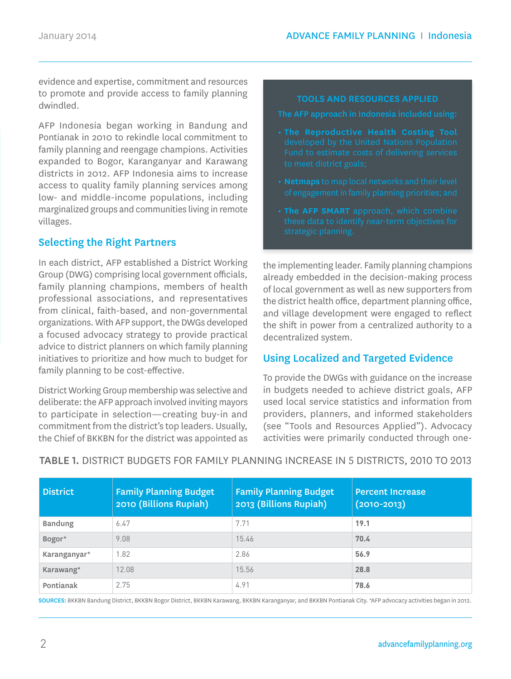evidence and expertise, commitment and resources to promote and provide access to family planning dwindled.

AFP Indonesia began working in Bandung and Pontianak in 2010 to rekindle local commitment to family planning and reengage champions. Activities expanded to Bogor, Karanganyar and Karawang districts in 2012. AFP Indonesia aims to increase access to quality family planning services among low- and middle-income populations, including marginalized groups and communities living in remote villages.

## Selecting the Right Partners

In each district, AFP established a District Working Group (DWG) comprising local government officials, family planning champions, members of health professional associations, and representatives from clinical, faith-based, and non-governmental organizations. With AFP support, the DWGs developed a focused advocacy strategy to provide practical advice to district planners on which family planning initiatives to prioritize and how much to budget for family planning to be cost-effective.

District Working Group membership was selective and deliberate: the AFP approach involved inviting mayors to participate in selection—creating buy-in and commitment from the district's top leaders. Usually, the Chief of BKKBN for the district was appointed as

#### **TOOLS AND RESOURCES APPLIED**

- 
- 
- 

the implementing leader. Family planning champions already embedded in the decision-making process of local government as well as new supporters from the district health office, department planning office, and village development were engaged to reflect the shift in power from a centralized authority to a decentralized system.

#### Using Localized and Targeted Evidence

To provide the DWGs with guidance on the increase in budgets needed to achieve district goals, AFP used local service statistics and information from providers, planners, and informed stakeholders (see "Tools and Resources Applied"). Advocacy activities were primarily conducted through one-

| <b>District</b> | <b>Family Planning Budget</b><br>2010 (Billions Rupiah) | <b>Family Planning Budget</b><br>2013 (Billions Rupiah) | <b>Percent Increase</b><br>$(2010 - 2013)$ |
|-----------------|---------------------------------------------------------|---------------------------------------------------------|--------------------------------------------|
| <b>Bandung</b>  | 6.47                                                    | 7.71                                                    | 19.1                                       |
| Bogor*          | 9.08                                                    | 15.46                                                   | 70.4                                       |
| Karanganyar*    | 1.82                                                    | 2.86                                                    | 56.9                                       |
| Karawang*       | 12.08                                                   | 15.56                                                   | 28.8                                       |
| Pontianak       | 2.75                                                    | 4.91                                                    | 78.6                                       |

## TABLE 1. DISTRICT BUDGETS FOR FAMILY PLANNING INCREASE IN 5 DISTRICTS, 2010 TO 2013

SOURCES: BKKBN Bandung District, BKKBN Bogor District, BKKBN Karawang, BKKBN Karanganyar, and BKKBN Pontianak City. \*AFP advocacy activities began in 2012.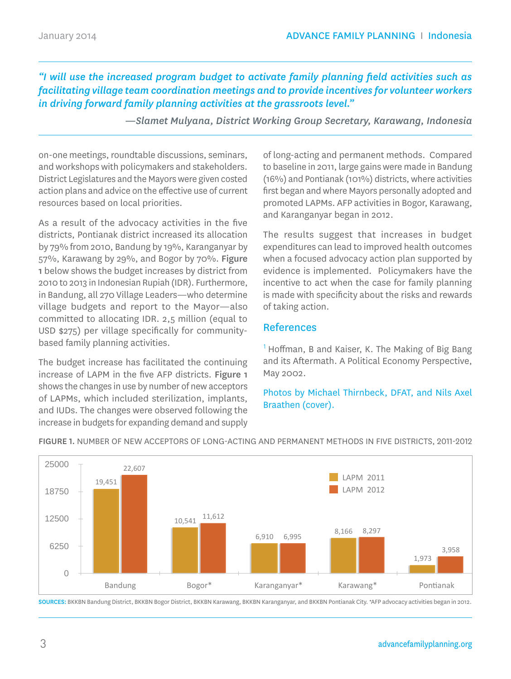*"I will use the increased program budget to activate family planning field activities such as facilitating village team coordination meetings and to provide incentives for volunteer workers in driving forward family planning activities at the grassroots level."*

*—Slamet Mulyana, District Working Group Secretary, Karawang, Indonesia*

on-one meetings, roundtable discussions, seminars, and workshops with policymakers and stakeholders. District Legislatures and the Mayors were given costed action plans and advice on the effective use of current resources based on local priorities.

As a result of the advocacy activities in the five districts, Pontianak district increased its allocation by 79% from 2010, Bandung by 19%, Karanganyar by 57%, Karawang by 29%, and Bogor by 70%. Figure 1 below shows the budget increases by district from 2010 to 2013 in Indonesian Rupiah (IDR). Furthermore, in Bandung, all 270 Village Leaders—who determine village budgets and report to the Mayor—also committed to allocating IDR. 2,5 million (equal to USD \$275) per village specifically for communitybased family planning activities.

The budget increase has facilitated the continuing increase of LAPM in the five AFP districts. Figure 1 shows the changes in use by number of new acceptors of LAPMs, which included sterilization, implants, and IUDs. The changes were observed following the increase in budgets for expanding demand and supply of long-acting and permanent methods. Compared to baseline in 2011, large gains were made in Bandung (16%) and Pontianak (101%) districts, where activities first began and where Mayors personally adopted and promoted LAPMs. AFP activities in Bogor, Karawang, and Karanganyar began in 2012.

The results suggest that increases in budget expenditures can lead to improved health outcomes when a focused advocacy action plan supported by evidence is implemented. Policymakers have the incentive to act when the case for family planning is made with specificity about the risks and rewards of taking action.

### References

 $<sup>1</sup>$  Hoffman, B and Kaiser, K. The Making of Big Bang</sup> and its Aftermath. A Political Economy Perspective, May 2002.

Photos by Michael Thirnbeck, DFAT, and Nils Axel Braathen (cover).



FIGURE 1. NUMBER OF NEW ACCEPTORS OF LONG-ACTING AND PERMANENT METHODS IN FIVE DISTRICTS, 2011-2012

SOURCES: BKKBN Bandung District, BKKBN Bogor District, BKKBN Karawang, BKKBN Karanganyar, and BKKBN Pontianak City. \*AFP advocacy activities began in 2012.